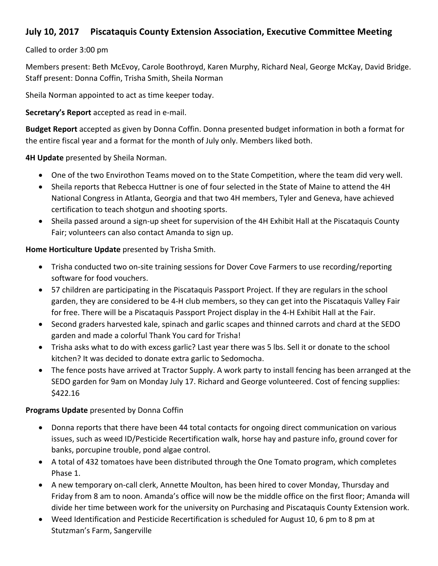# **July 10, 2017** Piscataquis County Extension Association, Executive Committee Meeting

## Called to order 3:00 pm

Members present: Beth McEvoy, Carole Boothroyd, Karen Murphy, Richard Neal, George McKay, David Bridge. Staff present: Donna Coffin, Trisha Smith, Sheila Norman

Sheila Norman appointed to act as time keeper today.

**Secretary's Report** accepted as read in e-mail.

**Budget Report** accepted as given by Donna Coffin. Donna presented budget information in both a format for the entire fiscal year and a format for the month of July only. Members liked both.

**4H Update** presented by Sheila Norman.

- One of the two Envirothon Teams moved on to the State Competition, where the team did very well.
- Sheila reports that Rebecca Huttner is one of four selected in the State of Maine to attend the 4H National Congress in Atlanta, Georgia and that two 4H members, Tyler and Geneva, have achieved certification to teach shotgun and shooting sports.
- Sheila passed around a sign-up sheet for supervision of the 4H Exhibit Hall at the Piscataquis County Fair; volunteers can also contact Amanda to sign up.

Home Horticulture Update presented by Trisha Smith.

- Trisha conducted two on-site training sessions for Dover Cove Farmers to use recording/reporting software for food vouchers.
- 57 children are participating in the Piscataquis Passport Project. If they are regulars in the school garden, they are considered to be 4-H club members, so they can get into the Piscataquis Valley Fair for free. There will be a Piscataquis Passport Project display in the 4-H Exhibit Hall at the Fair.
- Second graders harvested kale, spinach and garlic scapes and thinned carrots and chard at the SEDO garden and made a colorful Thank You card for Trisha!
- Trisha asks what to do with excess garlic? Last year there was 5 lbs. Sell it or donate to the school kitchen? It was decided to donate extra garlic to Sedomocha.
- The fence posts have arrived at Tractor Supply. A work party to install fencing has been arranged at the SEDO garden for 9am on Monday July 17. Richard and George volunteered. Cost of fencing supplies: \$422.16

# **Programs Update** presented by Donna Coffin

- Donna reports that there have been 44 total contacts for ongoing direct communication on various issues, such as weed ID/Pesticide Recertification walk, horse hay and pasture info, ground cover for banks, porcupine trouble, pond algae control.
- A total of 432 tomatoes have been distributed through the One Tomato program, which completes Phase 1.
- A new temporary on-call clerk, Annette Moulton, has been hired to cover Monday, Thursday and Friday from 8 am to noon. Amanda's office will now be the middle office on the first floor; Amanda will divide her time between work for the university on Purchasing and Piscataquis County Extension work.
- Weed Identification and Pesticide Recertification is scheduled for August 10, 6 pm to 8 pm at Stutzman's Farm, Sangerville